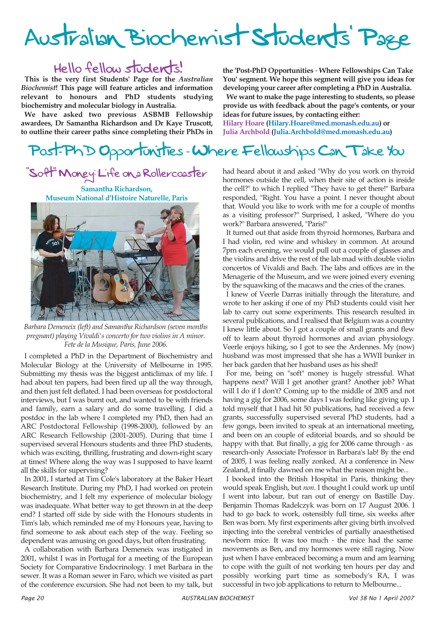# Australian Biochemist Students' Page

# Hello fellow students!

**This is the very first Students' Page for the** *Australian Biochemist***! This page will feature articles and information relevant to honours and PhD students studying biochemistry and molecular biology in Australia.**

**We have asked two previous ASBMB Fellowship awardees, Dr Samantha Richardson and Dr Kaye Truscott, to outline their career paths since completing their PhDs in** **the 'Post-PhD Opportunities** - **Where Fellowships Can Take You' segment. We hope this segment will give you ideas for developing your career after completing a PhD in Australia.**

**We want to make the page interesting to students, so please provide us with feedback about the page's contents, or your ideas for future issues, by contacting either: Hilary Hoare (Hilary.Hoare@med.monash.edu.au) or** 

**Julia Archbold (Julia.Archbold@med.monash.edu.au)**

# Post-PhD Opportunities - Where Fellowships Can Take You

# "Soft" Money: Life on a Rollercoaster

**Samantha Richardson, Museum National d'Histoire Naturelle, Paris**



*Barbara Demeneix (left) and Samantha Richardson (seven months pregnant) playing Vivaldi's concerto for two violins in A minor. Fete de la Musique, Paris, June 2006.*

I completed a PhD in the Department of Biochemistry and Molecular Biology at the University of Melbourne in 1995. Submitting my thesis was the biggest anticlimax of my life. I had about ten papers, had been fired up all the way through, and then just felt deflated. I had been overseas for postdoctoral interviews, but I was burnt out, and wanted to be with friends and family, earn a salary and do some travelling. I did a postdoc in the lab where I completed my PhD, then had an ARC Postdoctoral Fellowship (1998-2000), followed by an ARC Research Fellowship (2001-2005). During that time I supervised several Honours students and three PhD students, which was exciting, thrilling, frustrating and down-right scary at times! Where along the way was I supposed to have learnt all the skills for supervising?

In 2001, I started at Tim Cole's laboratory at the Baker Heart Research Institute. During my PhD, I had worked on protein biochemistry, and I felt my experience of molecular biology was inadequate. What better way to get thrown in at the deep end? I started off side by side with the Honours students in Tim's lab, which reminded me of my Honours year, having to find someone to ask about each step of the way. Feeling so dependent was amusing on good days, but often frustrating.

A collaboration with Barbara Demeneix was instigated in 2001, whilst I was in Portugal for a meeting of the European Society for Comparative Endocrinology. I met Barbara in the sewer. It was a Roman sewer in Faro, which we visited as part of the conference excursion. She had not been to my talk, but had heard about it and asked "Why do you work on thyroid hormones outside the cell, when their site of action is inside the cell?" to which I replied "They have to get there!" Barbara responded, "Right. You have a point. I never thought about that. Would you like to work with me for a couple of months as a visiting professor?" Surprised, I asked, "Where do you work?" Barbara answered, "Paris!"

It turned out that aside from thyroid hormones, Barbara and I had violin, red wine and whiskey in common. At around 7pm each evening, we would pull out a couple of glasses and the violins and drive the rest of the lab mad with double violin concertos of Vivaldi and Bach. The labs and offices are in the Menagerie of the Museum, and we were joined every evening by the squawking of the macaws and the cries of the cranes.

I knew of Veerle Darras initially through the literature, and wrote to her asking if one of my PhD students could visit her lab to carry out some experiments. This research resulted in several publications, and I realised that Belgium was a country I knew little about. So I got a couple of small grants and flew off to learn about thyroid hormones and avian physiology. Veerle enjoys hiking, so I got to see the Ardennes. My (now) husband was most impressed that she has a WWII bunker in her back garden that her husband uses as his shed!

For me, being on "soft" money is hugely stressful. What happens next? Will I get another grant? Another job? What will I do if I don't? Coming up to the middle of 2005 and not having a gig for 2006, some days I was feeling like giving up. I told myself that I had hit 50 publications, had received a few grants, successfully supervised several PhD students, had a few gongs, been invited to speak at an international meeting, and been on an couple of editorial boards, and so should be happy with that. But finally, a gig for 2006 came through - as research-only Associate Professor in Barbara's lab! By the end of 2005, I was feeling really zonked. At a conference in New Zealand, it finally dawned on me what the reason might be...

I booked into the British Hospital in Paris, thinking they would speak English, but *non*. I thought I could work up until I went into labour, but ran out of energy on Bastille Day. Benjamin Thomas Radelczyk was born on 17 August 2006. I had to go back to work, ostensibly full time, six weeks after Ben was born. My first experiments after giving birth involved injecting into the cerebral ventricles of partially anaesthetised newborn mice. It was too much - the mice had the same movements as Ben, and my hormones were still raging. Now just when I have embraced becoming a mum and am learning to cope with the guilt of not working ten hours per day and possibly working part time as somebody's RA, I was successful in two job applications to return to Melbourne...